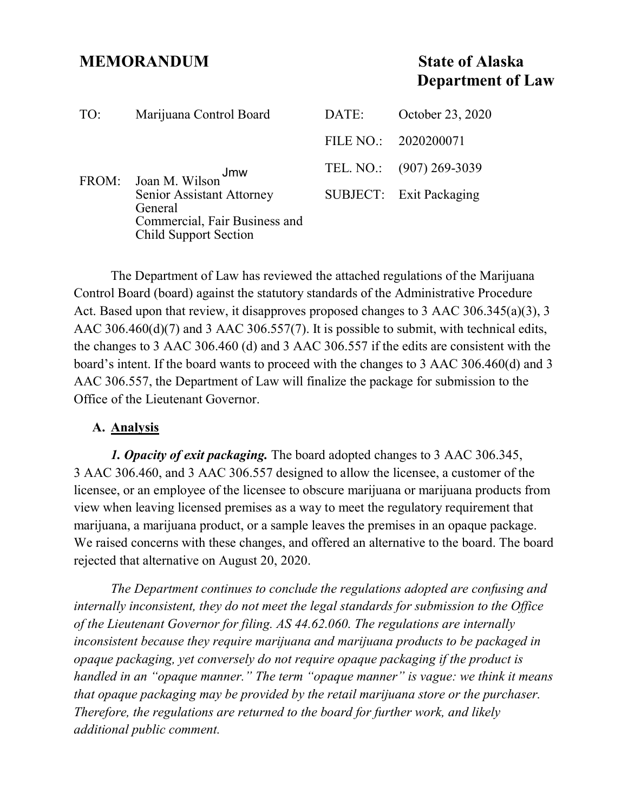## **MEMORANDUM State of Alaska**

# **Department of Law**

| TO:   | Marijuana Control Board                                                                                                        | DATE: | October 23, 2020         |
|-------|--------------------------------------------------------------------------------------------------------------------------------|-------|--------------------------|
| FROM: | Jmw<br>Joan M. Wilson<br>Senior Assistant Attorney<br>General<br>Commercial, Fair Business and<br><b>Child Support Section</b> |       | FILE NO.: 2020200071     |
|       |                                                                                                                                |       | TEL. NO.: (907) 269-3039 |
|       |                                                                                                                                |       | SUBJECT: Exit Packaging  |

The Department of Law has reviewed the attached regulations of the Marijuana Control Board (board) against the statutory standards of the Administrative Procedure Act. Based upon that review, it disapproves proposed changes to 3 AAC 306.345(a)(3), 3 AAC 306.460(d)(7) and 3 AAC 306.557(7). It is possible to submit, with technical edits, the changes to 3 AAC 306.460 (d) and 3 AAC 306.557 if the edits are consistent with the board's intent. If the board wants to proceed with the changes to 3 AAC 306.460(d) and 3 AAC 306.557, the Department of Law will finalize the package for submission to the Office of the Lieutenant Governor.

#### **A. Analysis**

*1. Opacity of exit packaging.* The board adopted changes to 3 AAC 306.345, 3 AAC 306.460, and 3 AAC 306.557 designed to allow the licensee, a customer of the licensee, or an employee of the licensee to obscure marijuana or marijuana products from view when leaving licensed premises as a way to meet the regulatory requirement that marijuana, a marijuana product, or a sample leaves the premises in an opaque package. We raised concerns with these changes, and offered an alternative to the board. The board rejected that alternative on August 20, 2020.

*The Department continues to conclude the regulations adopted are confusing and internally inconsistent, they do not meet the legal standards for submission to the Office of the Lieutenant Governor for filing. AS 44.62.060. The regulations are internally inconsistent because they require marijuana and marijuana products to be packaged in opaque packaging, yet conversely do not require opaque packaging if the product is handled in an "opaque manner." The term "opaque manner" is vague: we think it means that opaque packaging may be provided by the retail marijuana store or the purchaser. Therefore, the regulations are returned to the board for further work, and likely additional public comment.*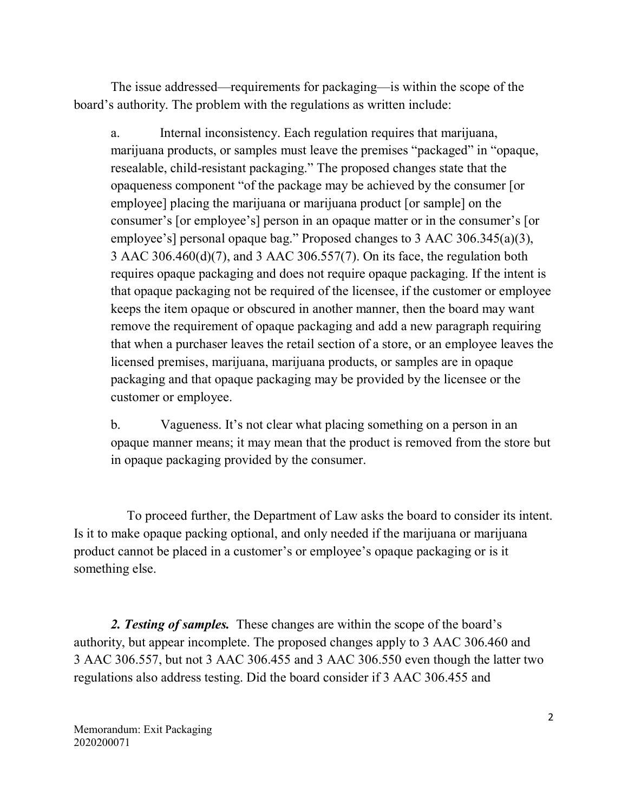The issue addressed—requirements for packaging—is within the scope of the board's authority. The problem with the regulations as written include:

a. Internal inconsistency. Each regulation requires that marijuana, marijuana products, or samples must leave the premises "packaged" in "opaque, resealable, child-resistant packaging." The proposed changes state that the opaqueness component "of the package may be achieved by the consumer [or employee] placing the marijuana or marijuana product [or sample] on the consumer's [or employee's] person in an opaque matter or in the consumer's [or employee's] personal opaque bag." Proposed changes to 3 AAC 306.345(a)(3), 3 AAC 306.460(d)(7), and 3 AAC 306.557(7). On its face, the regulation both requires opaque packaging and does not require opaque packaging. If the intent is that opaque packaging not be required of the licensee, if the customer or employee keeps the item opaque or obscured in another manner, then the board may want remove the requirement of opaque packaging and add a new paragraph requiring that when a purchaser leaves the retail section of a store, or an employee leaves the licensed premises, marijuana, marijuana products, or samples are in opaque packaging and that opaque packaging may be provided by the licensee or the customer or employee.

b. Vagueness. It's not clear what placing something on a person in an opaque manner means; it may mean that the product is removed from the store but in opaque packaging provided by the consumer.

 To proceed further, the Department of Law asks the board to consider its intent. Is it to make opaque packing optional, and only needed if the marijuana or marijuana product cannot be placed in a customer's or employee's opaque packaging or is it something else.

*2. Testing of samples.* These changes are within the scope of the board's authority, but appear incomplete. The proposed changes apply to 3 AAC 306.460 and 3 AAC 306.557, but not 3 AAC 306.455 and 3 AAC 306.550 even though the latter two regulations also address testing. Did the board consider if 3 AAC 306.455 and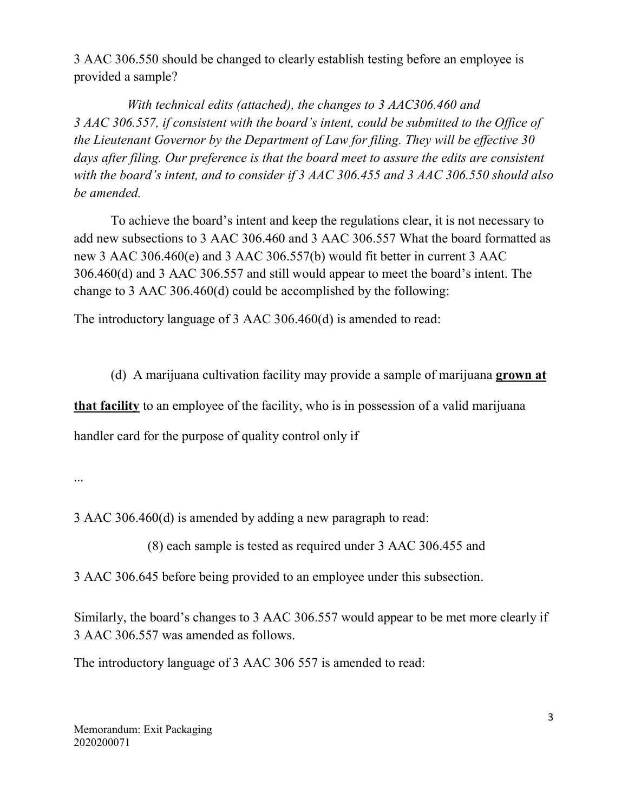3 AAC 306.550 should be changed to clearly establish testing before an employee is provided a sample?

 *With technical edits (attached), the changes to 3 AAC306.460 and 3 AAC 306.557, if consistent with the board's intent, could be submitted to the Office of the Lieutenant Governor by the Department of Law for filing. They will be effective 30*  days after filing. Our preference is that the board meet to assure the edits are consistent *with the board's intent, and to consider if 3 AAC 306.455 and 3 AAC 306.550 should also be amended.*

To achieve the board's intent and keep the regulations clear, it is not necessary to add new subsections to 3 AAC 306.460 and 3 AAC 306.557 What the board formatted as new 3 AAC 306.460(e) and 3 AAC 306.557(b) would fit better in current 3 AAC 306.460(d) and 3 AAC 306.557 and still would appear to meet the board's intent. The change to 3 AAC 306.460(d) could be accomplished by the following:

The introductory language of 3 AAC 306.460(d) is amended to read:

(d) A marijuana cultivation facility may provide a sample of marijuana **grown at** 

**that facility** to an employee of the facility, who is in possession of a valid marijuana

handler card for the purpose of quality control only if

...

3 AAC 306.460(d) is amended by adding a new paragraph to read:

(8) each sample is tested as required under 3 AAC 306.455 and

3 AAC 306.645 before being provided to an employee under this subsection.

Similarly, the board's changes to 3 AAC 306.557 would appear to be met more clearly if 3 AAC 306.557 was amended as follows.

The introductory language of 3 AAC 306 557 is amended to read: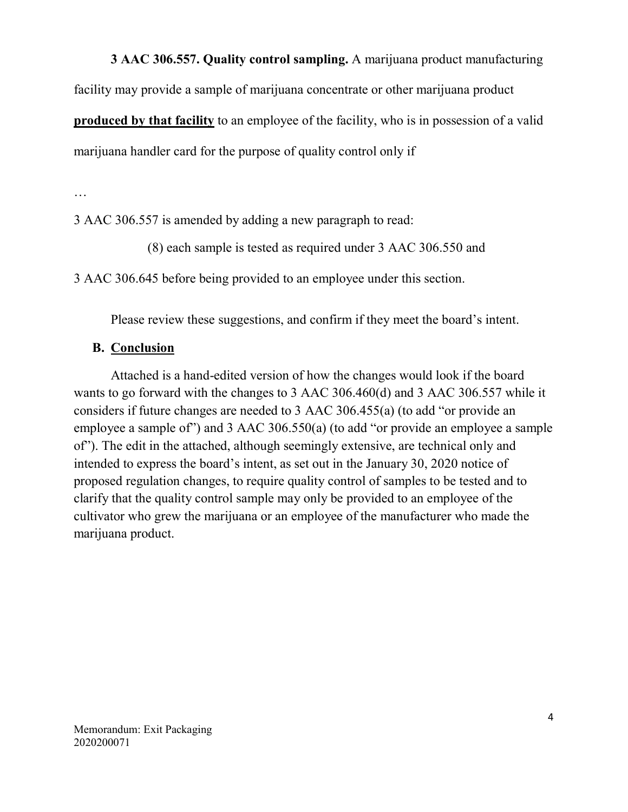**3 AAC 306.557. Quality control sampling.** A marijuana product manufacturing

facility may provide a sample of marijuana concentrate or other marijuana product

**produced by that facility** to an employee of the facility, who is in possession of a valid

marijuana handler card for the purpose of quality control only if

…

3 AAC 306.557 is amended by adding a new paragraph to read:

(8) each sample is tested as required under 3 AAC 306.550 and

3 AAC 306.645 before being provided to an employee under this section.

Please review these suggestions, and confirm if they meet the board's intent.

### **B. Conclusion**

Attached is a hand-edited version of how the changes would look if the board wants to go forward with the changes to 3 AAC 306.460(d) and 3 AAC 306.557 while it considers if future changes are needed to 3 AAC 306.455(a) (to add "or provide an employee a sample of") and 3 AAC 306.550(a) (to add "or provide an employee a sample of"). The edit in the attached, although seemingly extensive, are technical only and intended to express the board's intent, as set out in the January 30, 2020 notice of proposed regulation changes, to require quality control of samples to be tested and to clarify that the quality control sample may only be provided to an employee of the cultivator who grew the marijuana or an employee of the manufacturer who made the marijuana product.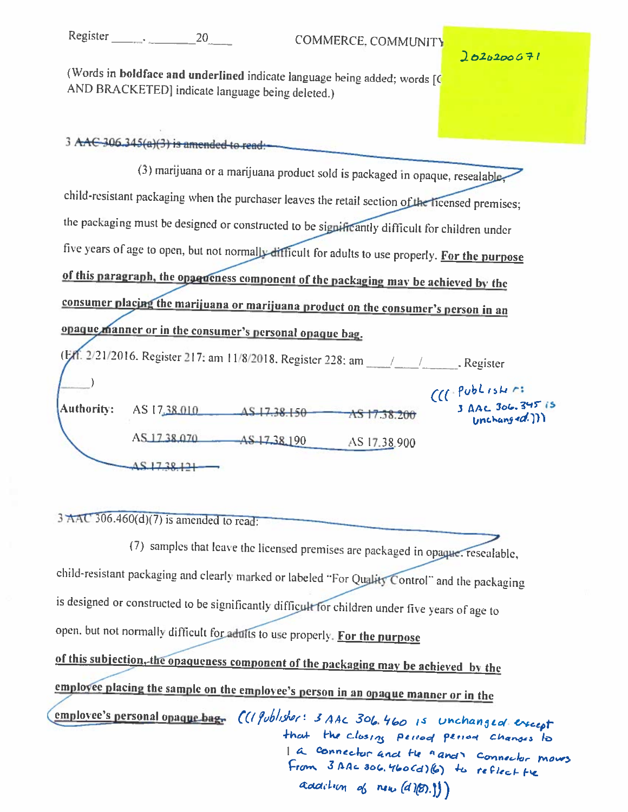Register . 20

 $2020200671$ 

(Words in boldface and underlined indicate language being added; words [C] AND BRACKETED] indicate language being deleted.)

## 3 AAC-306.345(a)(3) is amended to read:

|                                                                                                  |              |             | (3) marijuana or a marijuana product sold is packaged in opaque, resealable-                      |                                      |  |  |  |
|--------------------------------------------------------------------------------------------------|--------------|-------------|---------------------------------------------------------------------------------------------------|--------------------------------------|--|--|--|
| child-resistant packaging when the purchaser leaves the retail section of the licensed premises; |              |             |                                                                                                   |                                      |  |  |  |
| the packaging must be designed or constructed to be significantly difficult for children under   |              |             |                                                                                                   |                                      |  |  |  |
|                                                                                                  |              |             | five years of age to open, but not normally difficult for adults to use properly. For the purpose |                                      |  |  |  |
| of this paragraph, the opperiess component of the packaging may be achieved by the               |              |             |                                                                                                   |                                      |  |  |  |
| consumer placing the marijuana or marijuana product on the consumer's person in an               |              |             |                                                                                                   |                                      |  |  |  |
| opaque manner or in the consumer's personal opaque bag.                                          |              |             |                                                                                                   |                                      |  |  |  |
| (Ett. 2/21/2016. Register 217: am 11/8/2018. Register 228: am ________________. Register         |              |             |                                                                                                   |                                      |  |  |  |
|                                                                                                  |              |             |                                                                                                   | $CC(-$ Publishri<br>3 AAC 306.345 is |  |  |  |
| Authority:                                                                                       | AS 17,38,010 | AS17.38.150 | AS 17 38.200                                                                                      | Unchanging 4d.)                      |  |  |  |
|                                                                                                  | AS 1738,070  | AS 1738 190 | AS 17.38.900                                                                                      |                                      |  |  |  |
|                                                                                                  | 451738121    |             |                                                                                                   |                                      |  |  |  |

 $3 \text{ AAC } 306.460(d)(7)$  is amended to read:

(7) samples that leave the licensed premises are packaged in opaque. resealable, child-resistant packaging and clearly marked or labeled "For Quality Control" and the packaging is designed or constructed to be significantly difficult for children under five years of age to open, but not normally difficult for adults to use properly. For the purpose of this subjection, the opaqueness component of the packaging may be achieved by the emplovee placing the sample on the employee's person in an opaque manner or in the employee's personal opaque bag. ((1 gublisher: 3 AAC 306.460 is unchanged except that the closing period period changes to 1 a connector and the a and connector moves From 3 AAC 306.460Cd) (6) to reflect the addition of new (d)(B). !!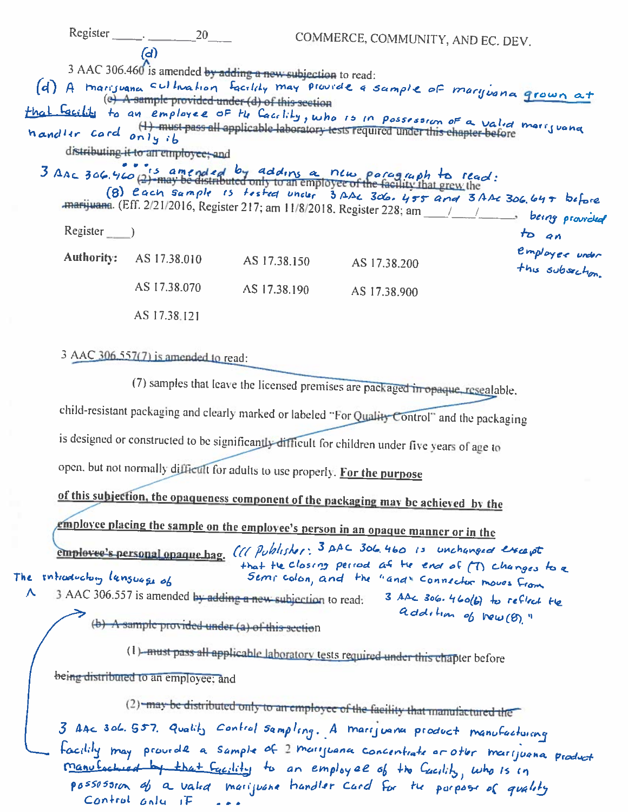|              | $Register$ 20                              |                                                                                                                 | COMMERCE, COMMUNITY, AND EC. DEV.                                                                                                                                                                                                                                 |                                                                          |
|--------------|--------------------------------------------|-----------------------------------------------------------------------------------------------------------------|-------------------------------------------------------------------------------------------------------------------------------------------------------------------------------------------------------------------------------------------------------------------|--------------------------------------------------------------------------|
|              | (၁)<br>distributing it to an employee; and | 3 AAC 306.460 is amended by adding a new subjection to read:<br>(e) A sample provided under (d) of this section | (d) A marisuana sultivation facility may provide a sample of maryonna grown at<br>that facility to an employee of the Cacclity, who is in possession of a valid marijuana<br>handler card only ib<br>3 AAC 306.460 (2) amended by adding a new paragraph to read: | (8) Each sample is tested under 3 Abc 306. 455 and 3 Abc 306, 647 before |
| $Register$ ) |                                            |                                                                                                                 |                                                                                                                                                                                                                                                                   | to an                                                                    |
|              | <b>Authority: AS 17.38.010</b>             | AS 17.38.150                                                                                                    | AS 17.38.200                                                                                                                                                                                                                                                      | employee under<br>this subsection.                                       |
|              | AS 17.38.070                               | AS 17.38.190                                                                                                    | AS 17.38.900                                                                                                                                                                                                                                                      |                                                                          |
|              | AS 17.38.121                               |                                                                                                                 |                                                                                                                                                                                                                                                                   |                                                                          |
|              | 3 AAC 306.557(7) is amended to read:       |                                                                                                                 |                                                                                                                                                                                                                                                                   |                                                                          |
|              |                                            |                                                                                                                 | (7) samples that leave the licensed premises are packaged in opaque, resealable,                                                                                                                                                                                  |                                                                          |
|              |                                            |                                                                                                                 | child-resistant packaging and clearly marked or labeled "For Quality Control" and the packaging                                                                                                                                                                   |                                                                          |
|              | is docinent or construct $1 + 1 - 2 - 1$   |                                                                                                                 |                                                                                                                                                                                                                                                                   |                                                                          |

is designed or constructed to be significantly difficult for children under five years of age to

open, but not normally difficult for adults to use properly. For the purpose

of this subjection, the opaqueness component of the packaging may be achieved by the

<u>emplovee placing the sample on the emplovee's person in an opaque manner or in the </u>

employee's personal opaque bag. (11 Publisher: 3 AAC 306.460 is unchanged except that the closing period af the end of (T) changes to a The introductory lansuage of Sempledon, and the "and" connector moves from 3 AAC 306.557 is amended by adding a new subjection to read: Λ 3 AAL 306.460(6) to reflect the addition of New (8)." (b) A sample provided under (a) of this section

(1) must pass all applicable laboratory tests required under this chapter before

being distributed to an employee; and

(2) may be distributed only to an employee of the facility that manufactured the 3 AAC 306. 557. Quality control sampling. A marijuana product manufacturing Facility may provide a sample of 2 marijuana concentrate or other marijuana product <u>Manufactured by that Eacility</u> to an employee of the Cacility, who is in possosoron of a valid marijuone handler card for the parpose of quality Control only if ...